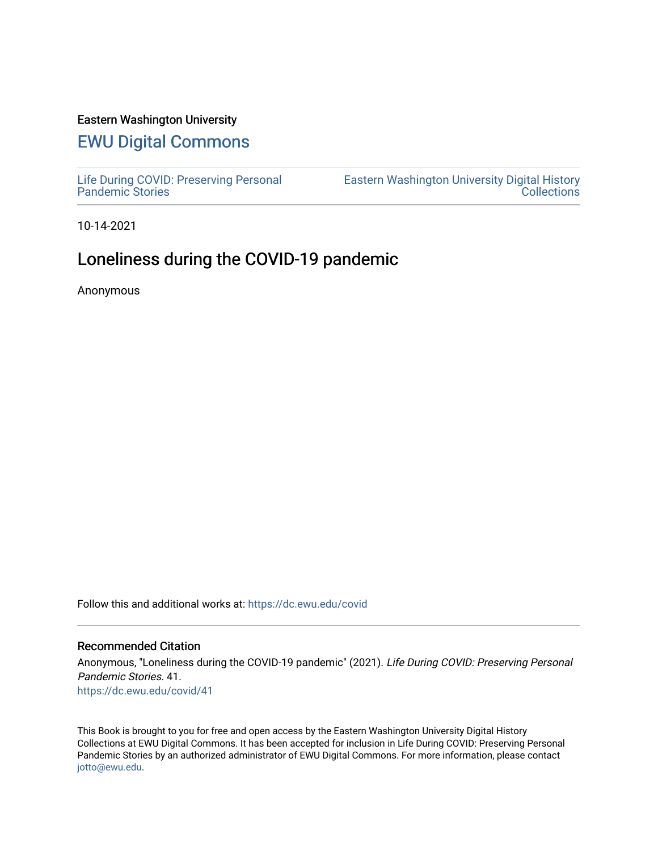### Eastern Washington University

# [EWU Digital Commons](https://dc.ewu.edu/)

[Life During COVID: Preserving Personal](https://dc.ewu.edu/covid) [Pandemic Stories](https://dc.ewu.edu/covid) 

[Eastern Washington University Digital History](https://dc.ewu.edu/ewu_history)  **Collections** 

10-14-2021

## Loneliness during the COVID-19 pandemic

Anonymous

Follow this and additional works at: [https://dc.ewu.edu/covid](https://dc.ewu.edu/covid?utm_source=dc.ewu.edu%2Fcovid%2F41&utm_medium=PDF&utm_campaign=PDFCoverPages)

### Recommended Citation

Anonymous, "Loneliness during the COVID-19 pandemic" (2021). Life During COVID: Preserving Personal Pandemic Stories. 41. [https://dc.ewu.edu/covid/41](https://dc.ewu.edu/covid/41?utm_source=dc.ewu.edu%2Fcovid%2F41&utm_medium=PDF&utm_campaign=PDFCoverPages) 

This Book is brought to you for free and open access by the Eastern Washington University Digital History Collections at EWU Digital Commons. It has been accepted for inclusion in Life During COVID: Preserving Personal Pandemic Stories by an authorized administrator of EWU Digital Commons. For more information, please contact [jotto@ewu.edu.](mailto:jotto@ewu.edu)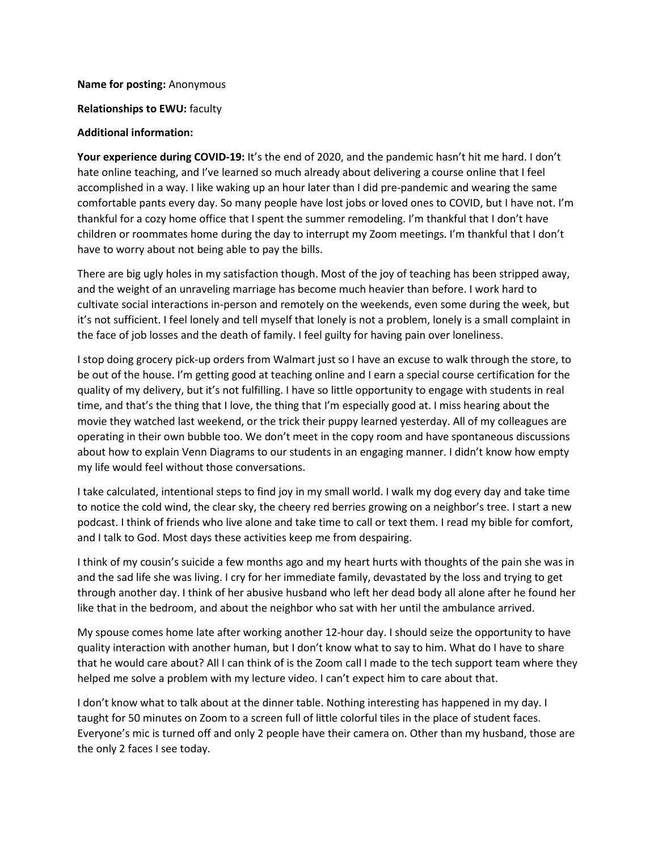**Name for posting:** Anonymous

**Relationships to EWU:** faculty

#### **Additional information:**

**Your experience during COVID-19:** It's the end of 2020, and the pandemic hasn't hit me hard. I don't hate online teaching, and I've learned so much already about delivering a course online that I feel accomplished in a way. I like waking up an hour later than I did pre-pandemic and wearing the same comfortable pants every day. So many people have lost jobs or loved ones to COVID, but I have not. I'm thankful for a cozy home office that I spent the summer remodeling. I'm thankful that I don't have children or roommates home during the day to interrupt my Zoom meetings. I'm thankful that I don't have to worry about not being able to pay the bills.

There are big ugly holes in my satisfaction though. Most of the joy of teaching has been stripped away, and the weight of an unraveling marriage has become much heavier than before. I work hard to cultivate social interactions in-person and remotely on the weekends, even some during the week, but it's not sufficient. I feel lonely and tell myself that lonely is not a problem, lonely is a small complaint in the face of job losses and the death of family. I feel guilty for having pain over loneliness.

I stop doing grocery pick-up orders from Walmart just so I have an excuse to walk through the store, to be out of the house. I'm getting good at teaching online and I earn a special course certification for the quality of my delivery, but it's not fulfilling. I have so little opportunity to engage with students in real time, and that's the thing that I love, the thing that I'm especially good at. I miss hearing about the movie they watched last weekend, or the trick their puppy learned yesterday. All of my colleagues are operating in their own bubble too. We don't meet in the copy room and have spontaneous discussions about how to explain Venn Diagrams to our students in an engaging manner. I didn't know how empty my life would feel without those conversations.

I take calculated, intentional steps to find joy in my small world. I walk my dog every day and take time to notice the cold wind, the clear sky, the cheery red berries growing on a neighbor's tree. I start a new podcast. I think of friends who live alone and take time to call or text them. I read my bible for comfort, and I talk to God. Most days these activities keep me from despairing.

I think of my cousin's suicide a few months ago and my heart hurts with thoughts of the pain she was in and the sad life she was living. I cry for her immediate family, devastated by the loss and trying to get through another day. I think of her abusive husband who left her dead body all alone after he found her like that in the bedroom, and about the neighbor who sat with her until the ambulance arrived.

My spouse comes home late after working another 12-hour day. I should seize the opportunity to have quality interaction with another human, but I don't know what to say to him. What do I have to share that he would care about? All I can think of is the Zoom call I made to the tech support team where they helped me solve a problem with my lecture video. I can't expect him to care about that.

I don't know what to talk about at the dinner table. Nothing interesting has happened in my day. I taught for 50 minutes on Zoom to a screen full of little colorful tiles in the place of student faces. Everyone's mic is turned off and only 2 people have their camera on. Other than my husband, those are the only 2 faces I see today.